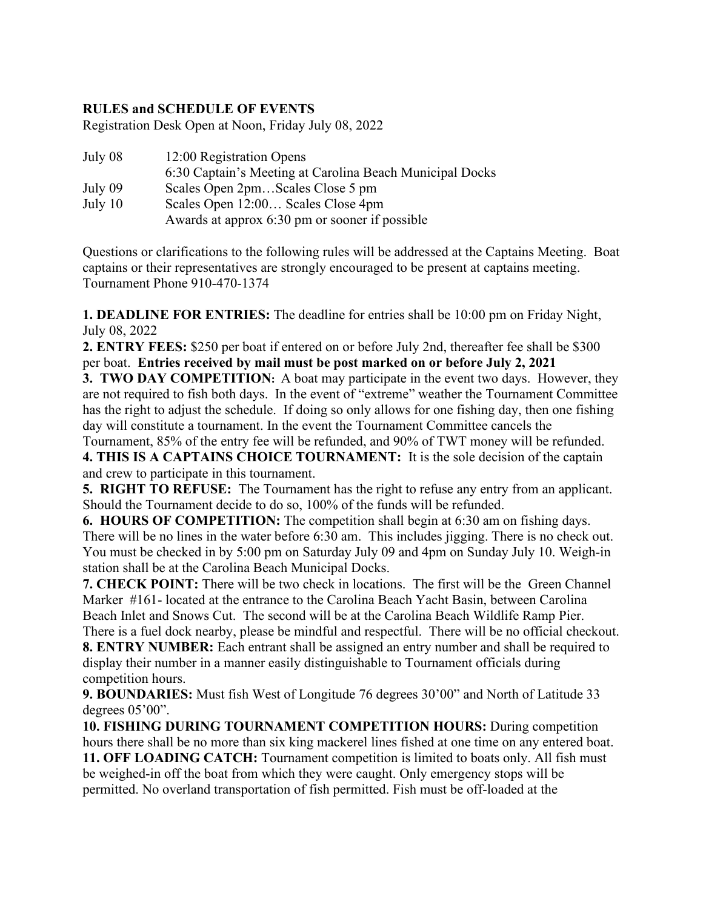## **RULES and SCHEDULE OF EVENTS**

Registration Desk Open at Noon, Friday July 08, 2022

| July 08   | 12:00 Registration Opens                                 |
|-----------|----------------------------------------------------------|
|           | 6:30 Captain's Meeting at Carolina Beach Municipal Docks |
| July 09   | Scales Open 2pmScales Close 5 pm                         |
| July $10$ | Scales Open 12:00 Scales Close 4pm                       |
|           | Awards at approx 6:30 pm or sooner if possible           |
|           |                                                          |

Questions or clarifications to the following rules will be addressed at the Captains Meeting. Boat captains or their representatives are strongly encouraged to be present at captains meeting. Tournament Phone 910-470-1374

**1. DEADLINE FOR ENTRIES:** The deadline for entries shall be 10:00 pm on Friday Night, July 08, 2022

**2. ENTRY FEES:** \$250 per boat if entered on or before July 2nd, thereafter fee shall be \$300 per boat. **Entries received by mail must be post marked on or before July 2, 2021**

**3. TWO DAY COMPETITION:** A boat may participate in the event two days. However, they are not required to fish both days. In the event of "extreme" weather the Tournament Committee has the right to adjust the schedule. If doing so only allows for one fishing day, then one fishing day will constitute a tournament. In the event the Tournament Committee cancels the

Tournament, 85% of the entry fee will be refunded, and 90% of TWT money will be refunded. **4. THIS IS A CAPTAINS CHOICE TOURNAMENT:** It is the sole decision of the captain

and crew to participate in this tournament.

**5. RIGHT TO REFUSE:** The Tournament has the right to refuse any entry from an applicant. Should the Tournament decide to do so, 100% of the funds will be refunded.

**6. HOURS OF COMPETITION:** The competition shall begin at 6:30 am on fishing days. There will be no lines in the water before 6:30 am. This includes jigging. There is no check out. You must be checked in by 5:00 pm on Saturday July 09 and 4pm on Sunday July 10. Weigh-in station shall be at the Carolina Beach Municipal Docks.

**7. CHECK POINT:** There will be two check in locations. The first will be the Green Channel Marker #161- located at the entrance to the Carolina Beach Yacht Basin, between Carolina Beach Inlet and Snows Cut. The second will be at the Carolina Beach Wildlife Ramp Pier.

There is a fuel dock nearby, please be mindful and respectful. There will be no official checkout.

**8. ENTRY NUMBER:** Each entrant shall be assigned an entry number and shall be required to display their number in a manner easily distinguishable to Tournament officials during competition hours.

**9. BOUNDARIES:** Must fish West of Longitude 76 degrees 30'00" and North of Latitude 33 degrees 05'00".

**10. FISHING DURING TOURNAMENT COMPETITION HOURS:** During competition hours there shall be no more than six king mackerel lines fished at one time on any entered boat.

**11. OFF LOADING CATCH:** Tournament competition is limited to boats only. All fish must be weighed-in off the boat from which they were caught. Only emergency stops will be permitted. No overland transportation of fish permitted. Fish must be off-loaded at the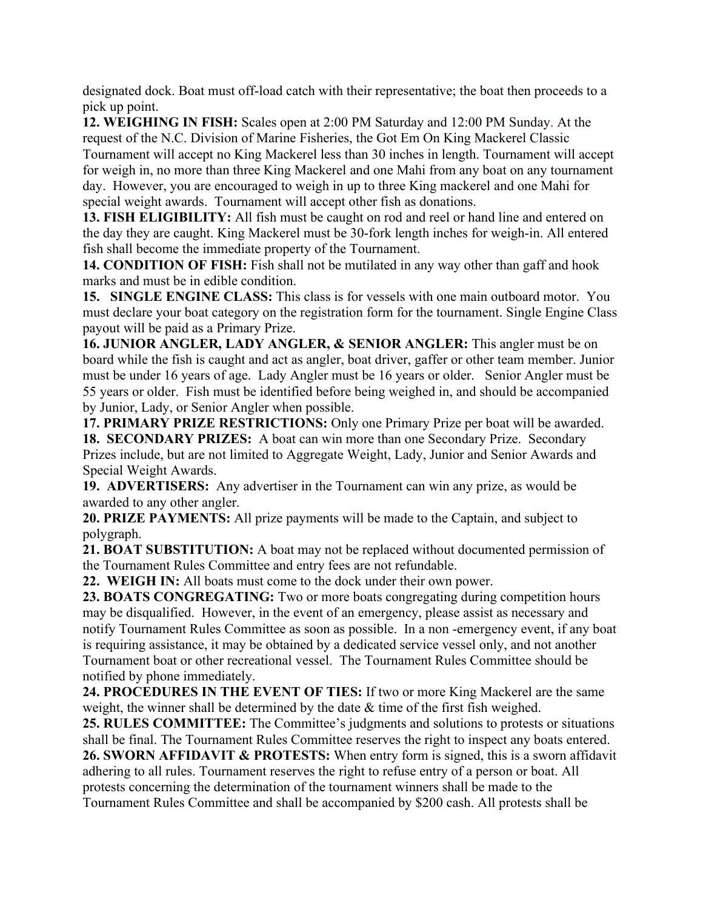designated dock. Boat must off-load catch with their representative; the boat then proceeds to a pick up point.

**12. WEIGHING IN FISH:** Scales open at 2:00 PM Saturday and 12:00 PM Sunday. At the request of the N.C. Division of Marine Fisheries, the Got Em On King Mackerel Classic Tournament will accept no King Mackerel less than 30 inches in length. Tournament will accept for weigh in, no more than three King Mackerel and one Mahi from any boat on any tournament day. However, you are encouraged to weigh in up to three King mackerel and one Mahi for special weight awards. Tournament will accept other fish as donations.

**13. FISH ELIGIBILITY:** All fish must be caught on rod and reel or hand line and entered on the day they are caught. King Mackerel must be 30-fork length inches for weigh-in. All entered fish shall become the immediate property of the Tournament.

**14. CONDITION OF FISH:** Fish shall not be mutilated in any way other than gaff and hook marks and must be in edible condition.

**15. SINGLE ENGINE CLASS:** This class is for vessels with one main outboard motor. You must declare your boat category on the registration form for the tournament. Single Engine Class payout will be paid as a Primary Prize.

**16. JUNIOR ANGLER, LADY ANGLER, & SENIOR ANGLER:** This angler must be on board while the fish is caught and act as angler, boat driver, gaffer or other team member. Junior must be under 16 years of age. Lady Angler must be 16 years or older. Senior Angler must be 55 years or older. Fish must be identified before being weighed in, and should be accompanied by Junior, Lady, or Senior Angler when possible.

**17. PRIMARY PRIZE RESTRICTIONS:** Only one Primary Prize per boat will be awarded.

**18. SECONDARY PRIZES:** A boat can win more than one Secondary Prize. Secondary Prizes include, but are not limited to Aggregate Weight, Lady, Junior and Senior Awards and Special Weight Awards.

**19. ADVERTISERS:** Any advertiser in the Tournament can win any prize, as would be awarded to any other angler.

**20. PRIZE PAYMENTS:** All prize payments will be made to the Captain, and subject to polygraph.

**21. BOAT SUBSTITUTION:** A boat may not be replaced without documented permission of the Tournament Rules Committee and entry fees are not refundable.

**22. WEIGH IN:** All boats must come to the dock under their own power.

**23. BOATS CONGREGATING:** Two or more boats congregating during competition hours may be disqualified. However, in the event of an emergency, please assist as necessary and notify Tournament Rules Committee as soon as possible. In a non -emergency event, if any boat is requiring assistance, it may be obtained by a dedicated service vessel only, and not another Tournament boat or other recreational vessel. The Tournament Rules Committee should be notified by phone immediately.

**24. PROCEDURES IN THE EVENT OF TIES:** If two or more King Mackerel are the same weight, the winner shall be determined by the date  $\&$  time of the first fish weighed.

**25. RULES COMMITTEE:** The Committee's judgments and solutions to protests or situations shall be final. The Tournament Rules Committee reserves the right to inspect any boats entered. **26. SWORN AFFIDAVIT & PROTESTS:** When entry form is signed, this is a sworn affidavit adhering to all rules. Tournament reserves the right to refuse entry of a person or boat. All protests concerning the determination of the tournament winners shall be made to the Tournament Rules Committee and shall be accompanied by \$200 cash. All protests shall be